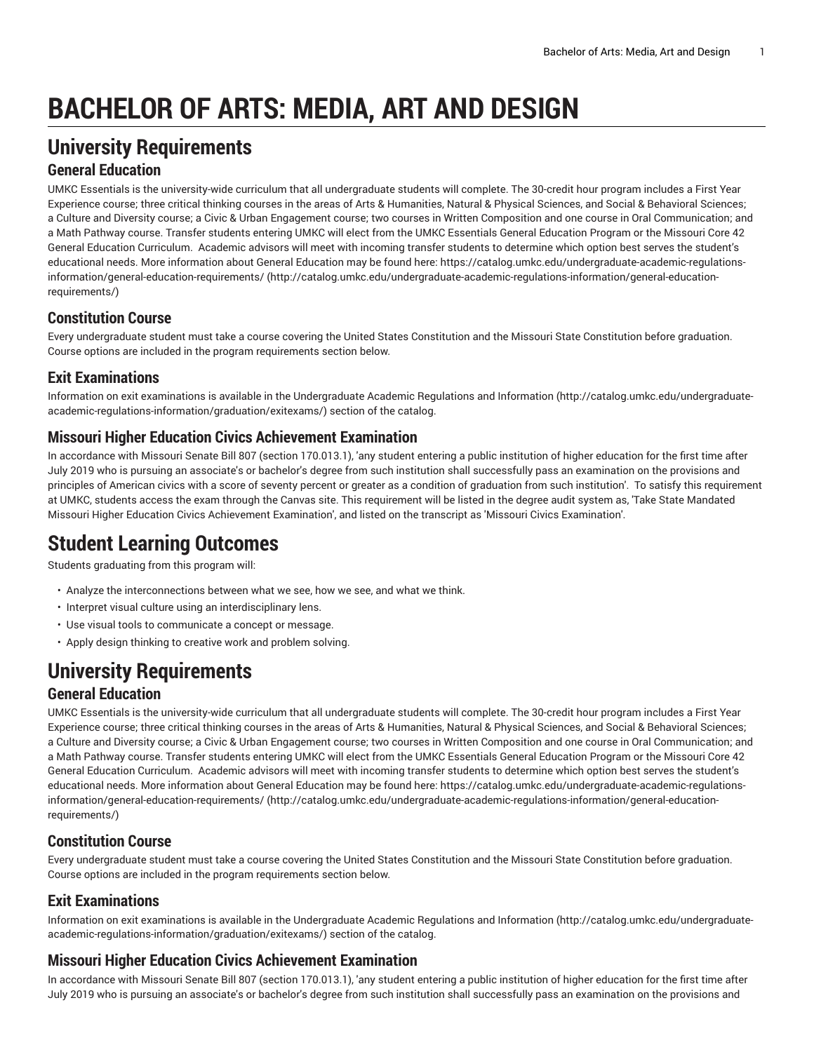# **BACHELOR OF ARTS: MEDIA, ART AND DESIGN**

# **University Requirements**

## **General Education**

UMKC Essentials is the university-wide curriculum that all undergraduate students will complete. The 30-credit hour program includes a First Year Experience course; three critical thinking courses in the areas of Arts & Humanities, Natural & Physical Sciences, and Social & Behavioral Sciences; a Culture and Diversity course; a Civic & Urban Engagement course; two courses in Written Composition and one course in Oral Communication; and a Math Pathway course. Transfer students entering UMKC will elect from the UMKC Essentials General Education Program or the Missouri Core 42 General Education Curriculum. Academic advisors will meet with incoming transfer students to determine which option best serves the student's educational needs. More information about General Education may be found here: [https://catalog.umkc.edu/undergraduate-academic-regulations](http://catalog.umkc.edu/undergraduate-academic-regulations-information/general-education-requirements/)[information/general-education-requirements/](http://catalog.umkc.edu/undergraduate-academic-regulations-information/general-education-requirements/) ([http://catalog.umkc.edu/undergraduate-academic-regulations-information/general-education](http://catalog.umkc.edu/undergraduate-academic-regulations-information/general-education-requirements/)[requirements/\)](http://catalog.umkc.edu/undergraduate-academic-regulations-information/general-education-requirements/)

## **Constitution Course**

Every undergraduate student must take a course covering the United States Constitution and the Missouri State Constitution before graduation. Course options are included in the program requirements section below.

## **Exit Examinations**

Information on exit examinations is available in the [Undergraduate](http://catalog.umkc.edu/undergraduate-academic-regulations-information/graduation/exitexams/) Academic Regulations and Information [\(http://catalog.umkc.edu/undergraduate](http://catalog.umkc.edu/undergraduate-academic-regulations-information/graduation/exitexams/)[academic-regulations-information/graduation/exitexams/](http://catalog.umkc.edu/undergraduate-academic-regulations-information/graduation/exitexams/)) section of the catalog.

## **Missouri Higher Education Civics Achievement Examination**

In accordance with Missouri Senate Bill 807 (section 170.013.1), 'any student entering a public institution of higher education for the first time after July 2019 who is pursuing an associate's or bachelor's degree from such institution shall successfully pass an examination on the provisions and principles of American civics with a score of seventy percent or greater as a condition of graduation from such institution'. To satisfy this requirement at UMKC, students access the exam through the Canvas site. This requirement will be listed in the degree audit system as, 'Take State Mandated Missouri Higher Education Civics Achievement Examination', and listed on the transcript as 'Missouri Civics Examination'.

# **Student Learning Outcomes**

Students graduating from this program will:

- Analyze the interconnections between what we see, how we see, and what we think.
- Interpret visual culture using an interdisciplinary lens.
- Use visual tools to communicate a concept or message.
- Apply design thinking to creative work and problem solving.

# **University Requirements**

## **General Education**

UMKC Essentials is the university-wide curriculum that all undergraduate students will complete. The 30-credit hour program includes a First Year Experience course; three critical thinking courses in the areas of Arts & Humanities, Natural & Physical Sciences, and Social & Behavioral Sciences; a Culture and Diversity course; a Civic & Urban Engagement course; two courses in Written Composition and one course in Oral Communication; and a Math Pathway course. Transfer students entering UMKC will elect from the UMKC Essentials General Education Program or the Missouri Core 42 General Education Curriculum. Academic advisors will meet with incoming transfer students to determine which option best serves the student's educational needs. More information about General Education may be found here: [https://catalog.umkc.edu/undergraduate-academic-regulations](http://catalog.umkc.edu/undergraduate-academic-regulations-information/general-education-requirements/)[information/general-education-requirements/](http://catalog.umkc.edu/undergraduate-academic-regulations-information/general-education-requirements/) ([http://catalog.umkc.edu/undergraduate-academic-regulations-information/general-education](http://catalog.umkc.edu/undergraduate-academic-regulations-information/general-education-requirements/)[requirements/\)](http://catalog.umkc.edu/undergraduate-academic-regulations-information/general-education-requirements/)

# **Constitution Course**

Every undergraduate student must take a course covering the United States Constitution and the Missouri State Constitution before graduation. Course options are included in the program requirements section below.

## **Exit Examinations**

Information on exit examinations is available in the [Undergraduate](http://catalog.umkc.edu/undergraduate-academic-regulations-information/graduation/exitexams/) Academic Regulations and Information [\(http://catalog.umkc.edu/undergraduate](http://catalog.umkc.edu/undergraduate-academic-regulations-information/graduation/exitexams/)[academic-regulations-information/graduation/exitexams/](http://catalog.umkc.edu/undergraduate-academic-regulations-information/graduation/exitexams/)) section of the catalog.

#### **Missouri Higher Education Civics Achievement Examination**

In accordance with Missouri Senate Bill 807 (section 170.013.1), 'any student entering a public institution of higher education for the first time after July 2019 who is pursuing an associate's or bachelor's degree from such institution shall successfully pass an examination on the provisions and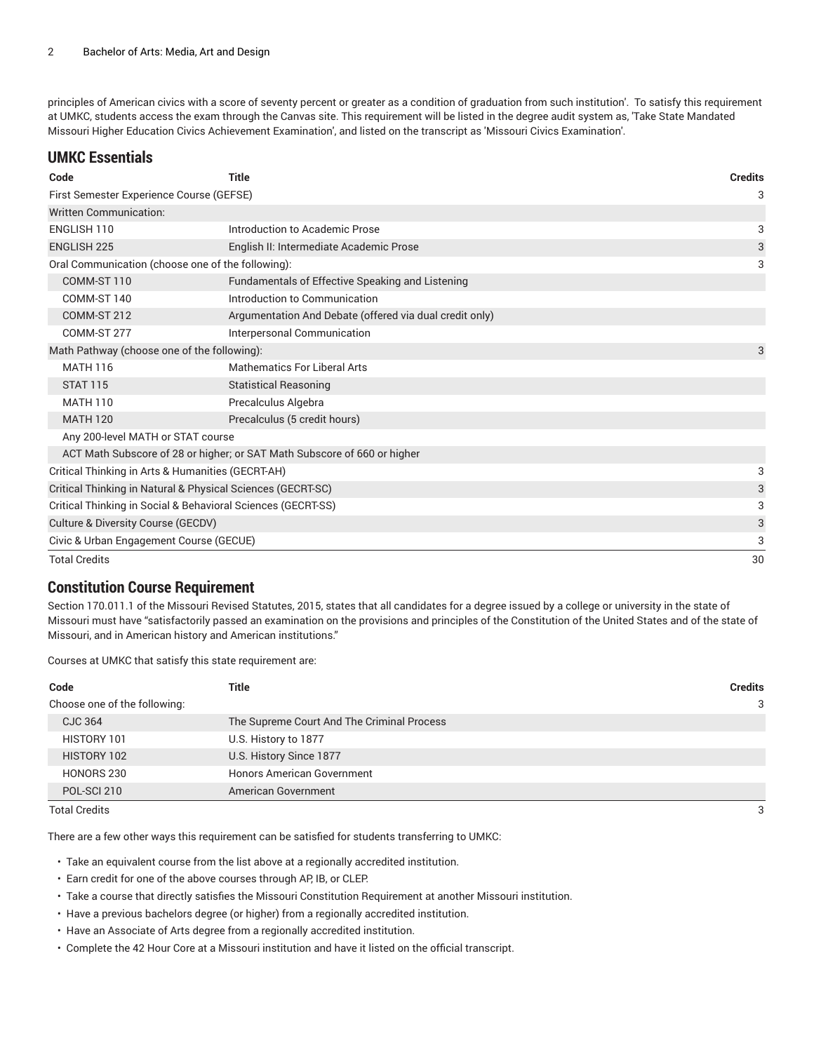principles of American civics with a score of seventy percent or greater as a condition of graduation from such institution'. To satisfy this requirement at UMKC, students access the exam through the Canvas site. This requirement will be listed in the degree audit system as, 'Take State Mandated Missouri Higher Education Civics Achievement Examination', and listed on the transcript as 'Missouri Civics Examination'.

#### **UMKC Essentials**

| <b>Title</b><br>Code                                                     |                                                         |    |  |  |
|--------------------------------------------------------------------------|---------------------------------------------------------|----|--|--|
| First Semester Experience Course (GEFSE)                                 |                                                         |    |  |  |
| <b>Written Communication:</b>                                            |                                                         |    |  |  |
| ENGLISH 110                                                              | Introduction to Academic Prose                          | 3  |  |  |
| <b>ENGLISH 225</b>                                                       | English II: Intermediate Academic Prose                 | 3  |  |  |
| Oral Communication (choose one of the following):                        |                                                         | 3  |  |  |
| COMM-ST 110                                                              | Fundamentals of Effective Speaking and Listening        |    |  |  |
| COMM-ST 140                                                              | Introduction to Communication                           |    |  |  |
| COMM-ST 212                                                              | Argumentation And Debate (offered via dual credit only) |    |  |  |
| COMM-ST 277                                                              | Interpersonal Communication                             |    |  |  |
| Math Pathway (choose one of the following):                              |                                                         | 3  |  |  |
| <b>MATH 116</b>                                                          | <b>Mathematics For Liberal Arts</b>                     |    |  |  |
| <b>STAT 115</b>                                                          | <b>Statistical Reasoning</b>                            |    |  |  |
| <b>MATH 110</b>                                                          | Precalculus Algebra                                     |    |  |  |
| Precalculus (5 credit hours)<br><b>MATH 120</b>                          |                                                         |    |  |  |
| Any 200-level MATH or STAT course                                        |                                                         |    |  |  |
| ACT Math Subscore of 28 or higher; or SAT Math Subscore of 660 or higher |                                                         |    |  |  |
| Critical Thinking in Arts & Humanities (GECRT-AH)                        |                                                         |    |  |  |
| Critical Thinking in Natural & Physical Sciences (GECRT-SC)              |                                                         |    |  |  |
| Critical Thinking in Social & Behavioral Sciences (GECRT-SS)             |                                                         |    |  |  |
| Culture & Diversity Course (GECDV)                                       |                                                         |    |  |  |
| Civic & Urban Engagement Course (GECUE)                                  |                                                         |    |  |  |
| <b>Total Credits</b>                                                     |                                                         | 30 |  |  |

#### **Constitution Course Requirement**

Section 170.011.1 of the Missouri Revised Statutes, 2015, states that all candidates for a degree issued by a college or university in the state of Missouri must have "satisfactorily passed an examination on the provisions and principles of the Constitution of the United States and of the state of Missouri, and in American history and American institutions."

Courses at UMKC that satisfy this state requirement are:

| Title                                      | <b>Credits</b> |
|--------------------------------------------|----------------|
|                                            | 3              |
| The Supreme Court And The Criminal Process |                |
| U.S. History to 1877                       |                |
| U.S. History Since 1877                    |                |
| <b>Honors American Government</b>          |                |
| American Government                        |                |
|                                            |                |

Total Credits 3

There are a few other ways this requirement can be satisfied for students transferring to UMKC:

- Take an equivalent course from the list above at a regionally accredited institution.
- Earn credit for one of the above courses through AP, IB, or CLEP.
- Take a course that directly satisfies the Missouri Constitution Requirement at another Missouri institution.
- Have a previous bachelors degree (or higher) from a regionally accredited institution.
- Have an Associate of Arts degree from a regionally accredited institution.
- Complete the 42 Hour Core at a Missouri institution and have it listed on the official transcript.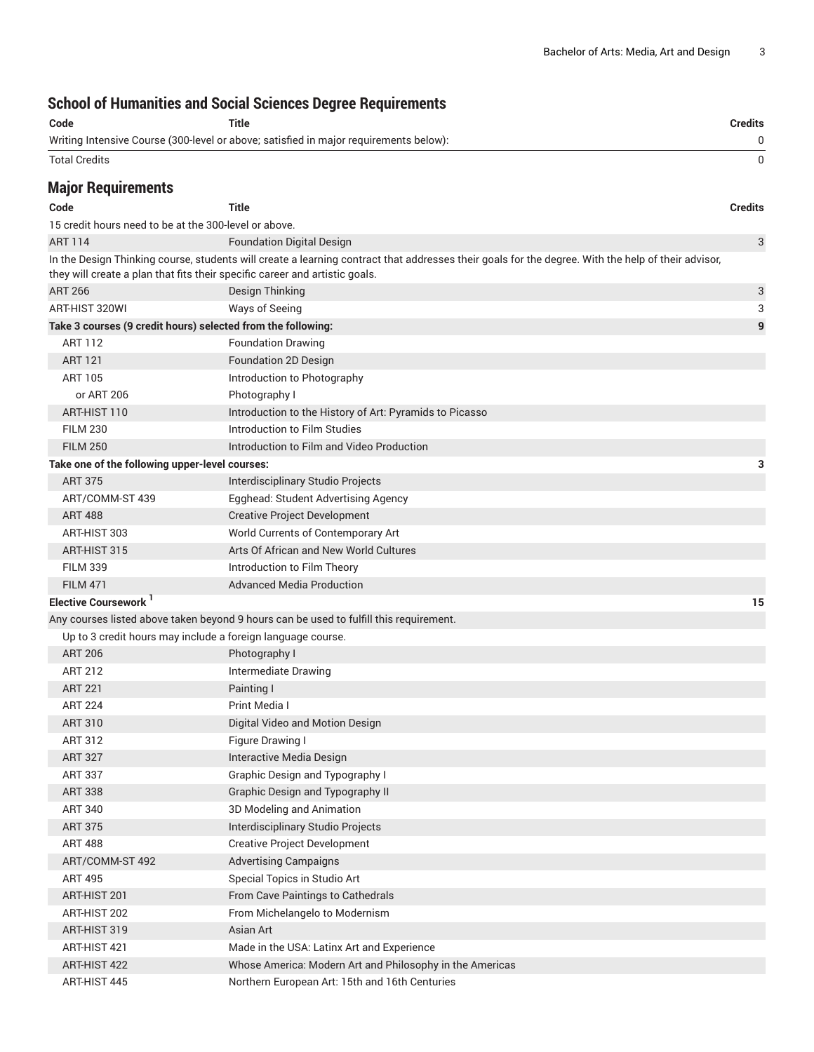# **School of Humanities and Social Sciences Degree Requirements**

|                                                              | SCIIOUI UI NUMANIUES ANU SUCIAI SCIENCES DEGIEE NEQUIFEMENTS                                                                                                                                                                      |                |
|--------------------------------------------------------------|-----------------------------------------------------------------------------------------------------------------------------------------------------------------------------------------------------------------------------------|----------------|
| Code                                                         | <b>Title</b>                                                                                                                                                                                                                      | <b>Credits</b> |
|                                                              | Writing Intensive Course (300-level or above; satisfied in major requirements below):                                                                                                                                             | 0              |
| <b>Total Credits</b>                                         |                                                                                                                                                                                                                                   | 0              |
| <b>Major Requirements</b>                                    |                                                                                                                                                                                                                                   |                |
| Code                                                         | Title                                                                                                                                                                                                                             | <b>Credits</b> |
| 15 credit hours need to be at the 300-level or above.        |                                                                                                                                                                                                                                   |                |
| <b>ART 114</b>                                               | <b>Foundation Digital Design</b>                                                                                                                                                                                                  | 3              |
|                                                              | In the Design Thinking course, students will create a learning contract that addresses their goals for the degree. With the help of their advisor,<br>they will create a plan that fits their specific career and artistic goals. |                |
| <b>ART 266</b>                                               | Design Thinking                                                                                                                                                                                                                   | 3              |
| ART-HIST 320WI                                               | Ways of Seeing                                                                                                                                                                                                                    | 3              |
| Take 3 courses (9 credit hours) selected from the following: |                                                                                                                                                                                                                                   | 9              |
| <b>ART 112</b>                                               | <b>Foundation Drawing</b>                                                                                                                                                                                                         |                |
| <b>ART 121</b>                                               | Foundation 2D Design                                                                                                                                                                                                              |                |
| <b>ART 105</b>                                               | Introduction to Photography                                                                                                                                                                                                       |                |
| or ART 206                                                   | Photography I                                                                                                                                                                                                                     |                |
| ART-HIST 110                                                 | Introduction to the History of Art: Pyramids to Picasso                                                                                                                                                                           |                |
| <b>FILM 230</b>                                              | Introduction to Film Studies                                                                                                                                                                                                      |                |
| <b>FILM 250</b>                                              | Introduction to Film and Video Production                                                                                                                                                                                         |                |
| Take one of the following upper-level courses:               |                                                                                                                                                                                                                                   | з              |
| <b>ART 375</b>                                               | Interdisciplinary Studio Projects                                                                                                                                                                                                 |                |
| ART/COMM-ST 439                                              | Egghead: Student Advertising Agency                                                                                                                                                                                               |                |
| <b>ART 488</b>                                               | <b>Creative Project Development</b>                                                                                                                                                                                               |                |
| ART-HIST 303                                                 | World Currents of Contemporary Art                                                                                                                                                                                                |                |
| ART-HIST 315                                                 | Arts Of African and New World Cultures                                                                                                                                                                                            |                |
| <b>FILM 339</b>                                              | Introduction to Film Theory                                                                                                                                                                                                       |                |
| <b>FILM 471</b>                                              | <b>Advanced Media Production</b>                                                                                                                                                                                                  |                |
| Elective Coursework <sup>1</sup>                             |                                                                                                                                                                                                                                   | 15             |
|                                                              | Any courses listed above taken beyond 9 hours can be used to fulfill this requirement.                                                                                                                                            |                |
| Up to 3 credit hours may include a foreign language course.  |                                                                                                                                                                                                                                   |                |
| <b>ART 206</b>                                               | Photography I                                                                                                                                                                                                                     |                |
| <b>ART 212</b>                                               | Intermediate Drawing                                                                                                                                                                                                              |                |
| <b>ART 221</b>                                               | Painting I                                                                                                                                                                                                                        |                |
| <b>ART 224</b>                                               | Print Media I                                                                                                                                                                                                                     |                |
| <b>ART 310</b>                                               | Digital Video and Motion Design                                                                                                                                                                                                   |                |
| ART 312                                                      | Figure Drawing I                                                                                                                                                                                                                  |                |
| <b>ART 327</b>                                               | Interactive Media Design                                                                                                                                                                                                          |                |
| <b>ART 337</b>                                               | <b>Graphic Design and Typography I</b>                                                                                                                                                                                            |                |
| <b>ART 338</b>                                               | <b>Graphic Design and Typography II</b>                                                                                                                                                                                           |                |
| <b>ART 340</b>                                               | 3D Modeling and Animation                                                                                                                                                                                                         |                |
| <b>ART 375</b>                                               | Interdisciplinary Studio Projects                                                                                                                                                                                                 |                |
| <b>ART 488</b>                                               | <b>Creative Project Development</b>                                                                                                                                                                                               |                |
| ART/COMM-ST 492                                              | <b>Advertising Campaigns</b>                                                                                                                                                                                                      |                |
| <b>ART 495</b>                                               | Special Topics in Studio Art                                                                                                                                                                                                      |                |
| ART-HIST 201                                                 | From Cave Paintings to Cathedrals                                                                                                                                                                                                 |                |
| ART-HIST 202                                                 | From Michelangelo to Modernism                                                                                                                                                                                                    |                |
| ART-HIST 319                                                 | Asian Art                                                                                                                                                                                                                         |                |
| ART-HIST 421                                                 | Made in the USA: Latinx Art and Experience                                                                                                                                                                                        |                |
| ART-HIST 422                                                 | Whose America: Modern Art and Philosophy in the Americas                                                                                                                                                                          |                |
| ART-HIST 445                                                 | Northern European Art: 15th and 16th Centuries                                                                                                                                                                                    |                |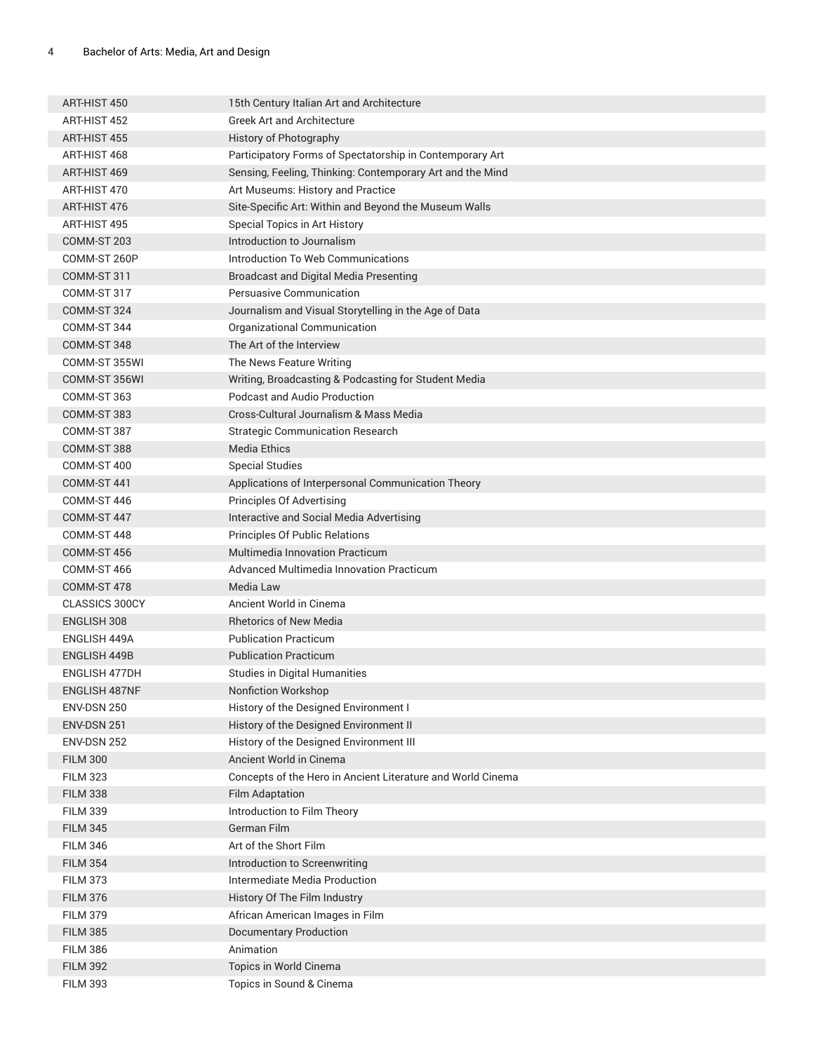| ART-HIST 450<br>ART-HIST 452 | 15th Century Italian Art and Architecture<br><b>Greek Art and Architecture</b> |
|------------------------------|--------------------------------------------------------------------------------|
| ART-HIST 455                 | History of Photography                                                         |
|                              |                                                                                |
| ART-HIST 468                 | Participatory Forms of Spectatorship in Contemporary Art                       |
| ART-HIST 469                 | Sensing, Feeling, Thinking: Contemporary Art and the Mind                      |
| ART-HIST 470                 | Art Museums: History and Practice                                              |
| ART-HIST 476                 | Site-Specific Art: Within and Beyond the Museum Walls                          |
| ART-HIST 495                 | Special Topics in Art History                                                  |
| COMM-ST 203                  | Introduction to Journalism                                                     |
| COMM-ST 260P                 | Introduction To Web Communications                                             |
| COMM-ST 311                  | <b>Broadcast and Digital Media Presenting</b>                                  |
| COMM-ST 317                  | Persuasive Communication                                                       |
| COMM-ST 324                  | Journalism and Visual Storytelling in the Age of Data                          |
| COMM-ST 344                  | Organizational Communication                                                   |
| COMM-ST 348                  | The Art of the Interview                                                       |
| COMM-ST 355WI                | The News Feature Writing                                                       |
| COMM-ST 356WI                | Writing, Broadcasting & Podcasting for Student Media                           |
| COMM-ST 363                  | <b>Podcast and Audio Production</b>                                            |
| COMM-ST 383                  | Cross-Cultural Journalism & Mass Media                                         |
| COMM-ST 387                  | <b>Strategic Communication Research</b>                                        |
| COMM-ST 388                  | <b>Media Ethics</b>                                                            |
| COMM-ST 400                  | <b>Special Studies</b>                                                         |
| COMM-ST 441                  | Applications of Interpersonal Communication Theory                             |
| COMM-ST 446                  | Principles Of Advertising                                                      |
| COMM-ST 447                  | Interactive and Social Media Advertising                                       |
| COMM-ST 448                  | Principles Of Public Relations                                                 |
| COMM-ST 456                  | <b>Multimedia Innovation Practicum</b>                                         |
| COMM-ST 466                  | Advanced Multimedia Innovation Practicum                                       |
| COMM-ST 478                  | Media Law                                                                      |
| <b>CLASSICS 300CY</b>        | Ancient World in Cinema                                                        |
| ENGLISH 308                  | <b>Rhetorics of New Media</b>                                                  |
| ENGLISH 449A                 | <b>Publication Practicum</b>                                                   |
| <b>ENGLISH 449B</b>          | <b>Publication Practicum</b>                                                   |
| <b>ENGLISH 477DH</b>         | <b>Studies in Digital Humanities</b>                                           |
| ENGLISH 487NF                | Nonfiction Workshop                                                            |
| <b>ENV-DSN 250</b>           | History of the Designed Environment I                                          |
| <b>ENV-DSN 251</b>           | History of the Designed Environment II                                         |
| <b>ENV-DSN 252</b>           | History of the Designed Environment III                                        |
| <b>FILM 300</b>              | Ancient World in Cinema                                                        |
| <b>FILM 323</b>              | Concepts of the Hero in Ancient Literature and World Cinema                    |
| <b>FILM 338</b>              | <b>Film Adaptation</b>                                                         |
| <b>FILM 339</b>              | Introduction to Film Theory                                                    |
| <b>FILM 345</b>              | German Film                                                                    |
| <b>FILM 346</b>              | Art of the Short Film                                                          |
| <b>FILM 354</b>              | Introduction to Screenwriting                                                  |
| <b>FILM 373</b>              | Intermediate Media Production                                                  |
| <b>FILM 376</b>              | History Of The Film Industry                                                   |
| <b>FILM 379</b>              | African American Images in Film                                                |
| <b>FILM 385</b>              | <b>Documentary Production</b>                                                  |
| <b>FILM 386</b>              | Animation                                                                      |
| <b>FILM 392</b>              | Topics in World Cinema                                                         |
| <b>FILM 393</b>              | Topics in Sound & Cinema                                                       |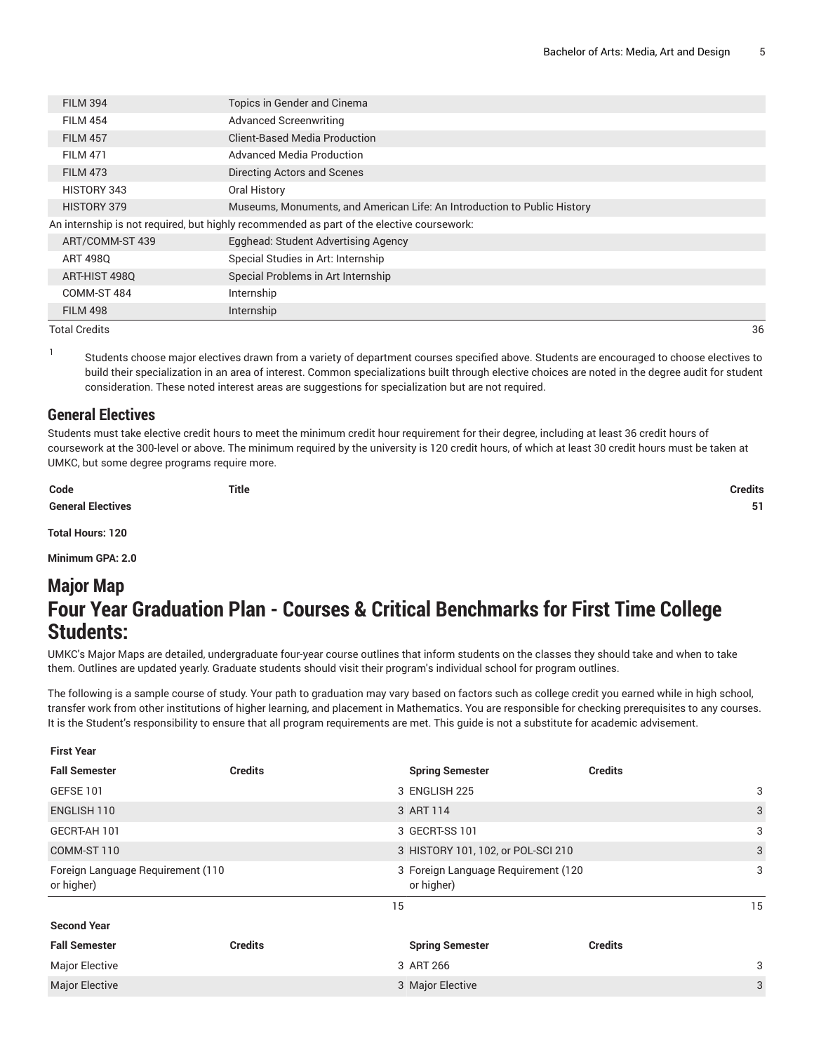| Topics in Gender and Cinema<br><b>FILM 394</b><br><b>Advanced Screenwriting</b><br><b>FILM 454</b><br>Client-Based Media Production<br><b>FILM 457</b><br>Advanced Media Production<br><b>FILM 471</b><br>Directing Actors and Scenes<br><b>FILM 473</b><br>HISTORY 343<br>Oral History<br>Museums, Monuments, and American Life: An Introduction to Public History<br>HISTORY 379<br>An internship is not required, but highly recommended as part of the elective coursework:<br>Egghead: Student Advertising Agency<br>ART/COMM-ST 439<br>Special Studies in Art: Internship<br>ART 4980<br>Special Problems in Art Internship<br>ART-HIST 498Q<br>COMM-ST 484<br>Internship<br>Internship<br><b>FILM 498</b> |  |  |  |  |  |
|------------------------------------------------------------------------------------------------------------------------------------------------------------------------------------------------------------------------------------------------------------------------------------------------------------------------------------------------------------------------------------------------------------------------------------------------------------------------------------------------------------------------------------------------------------------------------------------------------------------------------------------------------------------------------------------------------------------|--|--|--|--|--|
|                                                                                                                                                                                                                                                                                                                                                                                                                                                                                                                                                                                                                                                                                                                  |  |  |  |  |  |
|                                                                                                                                                                                                                                                                                                                                                                                                                                                                                                                                                                                                                                                                                                                  |  |  |  |  |  |
|                                                                                                                                                                                                                                                                                                                                                                                                                                                                                                                                                                                                                                                                                                                  |  |  |  |  |  |
|                                                                                                                                                                                                                                                                                                                                                                                                                                                                                                                                                                                                                                                                                                                  |  |  |  |  |  |
|                                                                                                                                                                                                                                                                                                                                                                                                                                                                                                                                                                                                                                                                                                                  |  |  |  |  |  |
|                                                                                                                                                                                                                                                                                                                                                                                                                                                                                                                                                                                                                                                                                                                  |  |  |  |  |  |
|                                                                                                                                                                                                                                                                                                                                                                                                                                                                                                                                                                                                                                                                                                                  |  |  |  |  |  |
|                                                                                                                                                                                                                                                                                                                                                                                                                                                                                                                                                                                                                                                                                                                  |  |  |  |  |  |
|                                                                                                                                                                                                                                                                                                                                                                                                                                                                                                                                                                                                                                                                                                                  |  |  |  |  |  |
|                                                                                                                                                                                                                                                                                                                                                                                                                                                                                                                                                                                                                                                                                                                  |  |  |  |  |  |
|                                                                                                                                                                                                                                                                                                                                                                                                                                                                                                                                                                                                                                                                                                                  |  |  |  |  |  |
|                                                                                                                                                                                                                                                                                                                                                                                                                                                                                                                                                                                                                                                                                                                  |  |  |  |  |  |
|                                                                                                                                                                                                                                                                                                                                                                                                                                                                                                                                                                                                                                                                                                                  |  |  |  |  |  |

Total Credits 36

1

Students choose major electives drawn from a variety of department courses specified above. Students are encouraged to choose electives to build their specialization in an area of interest. Common specializations built through elective choices are noted in the degree audit for student consideration. These noted interest areas are suggestions for specialization but are not required.

#### **General Electives**

Students must take elective credit hours to meet the minimum credit hour requirement for their degree, including at least 36 credit hours of coursework at the 300-level or above. The minimum required by the university is 120 credit hours, of which at least 30 credit hours must be taken at UMKC, but some degree programs require more.

**Code Title Credits General Electives 51 Total Hours: 120**

**Minimum GPA: 2.0**

# **Major Map Four Year Graduation Plan - Courses & Critical Benchmarks for First Time College Students:**

UMKC's Major Maps are detailed, undergraduate four-year course outlines that inform students on the classes they should take and when to take them. Outlines are updated yearly. Graduate students should visit their program's individual school for program outlines.

The following is a sample course of study. Your path to graduation may vary based on factors such as college credit you earned while in high school, transfer work from other institutions of higher learning, and placement in Mathematics. You are responsible for checking prerequisites to any courses. It is the Student's responsibility to ensure that all program requirements are met. This guide is not a substitute for academic advisement.

| <b>First Year</b>                                 |                |                                                   |                |    |
|---------------------------------------------------|----------------|---------------------------------------------------|----------------|----|
| <b>Fall Semester</b>                              | <b>Credits</b> | <b>Spring Semester</b>                            | <b>Credits</b> |    |
| GEFSE 101                                         |                | 3 ENGLISH 225                                     |                | 3  |
| ENGLISH 110                                       |                | 3 ART 114                                         |                | 3  |
| GECRT-AH 101                                      |                | 3 GECRT-SS 101                                    |                | 3  |
| COMM-ST 110<br>3 HISTORY 101, 102, or POL-SCI 210 |                |                                                   | 3              |    |
| Foreign Language Requirement (110<br>or higher)   |                | 3 Foreign Language Requirement (120<br>or higher) |                | 3  |
|                                                   |                | 15                                                |                | 15 |
| <b>Second Year</b>                                |                |                                                   |                |    |
| <b>Fall Semester</b>                              | <b>Credits</b> | <b>Spring Semester</b>                            | <b>Credits</b> |    |
| <b>Major Elective</b>                             |                | 3 ART 266                                         |                | 3  |
| <b>Major Elective</b>                             |                | 3 Major Elective                                  |                | 3  |